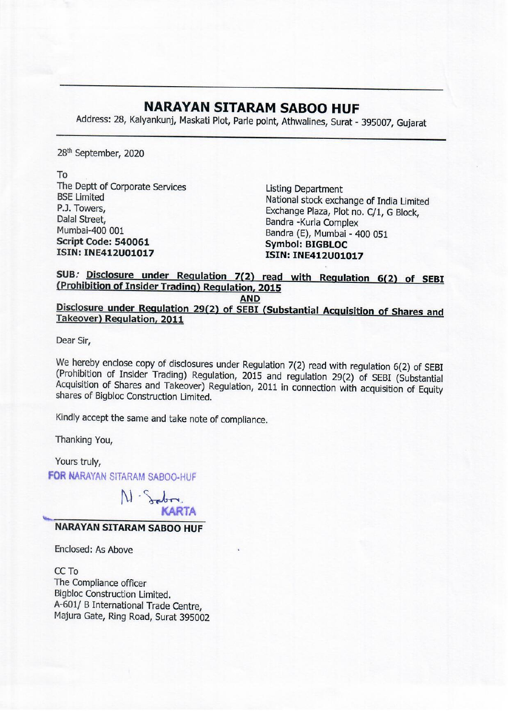## NARAYAN SITARAM SABOO HUF

**NARAYAN SITAF**<br>Address: 28, Kalyankunj, Maskati Plot, Park Address: 28, Kalyankunj, Maskati Plot, Parle point, Athwalines, Surat - 395007, Gujarat

28" September, 2020

To

The Deptt of Corporate Services<br>
BSE Limited<br>
R.J. Towers,<br>
Dalal Street,<br>
Dalal Street,<br>
Mumbai-400 001<br>
Script Code: 540061<br>
Stript Code: 540061<br>
Stript Code: 540061<br>
Stript Code: 540061<br>
Stript Code: 540061<br>
Stript Code

SUB. Disclosure under Regulation 7(2) read with Regulation 6(2) of SEBI (Prohibition of Insider Trading) Regulation, 2015

AND<br>Disclosure under Regulation 29(2) of SEBI (Substantial Acquisition of Shares and Takeover) Regulation, 2011

Dear Sir,

We hereby enclose copy of disclosures under Regulation 7(2) read with regulation 6(2) of SEBI (Prohibition of Insider Trading) Regulation, 2015 and regulation 29(2) of SEBI (Substantial Acquisition of Shares and Takeover)

Thanking You,

Yours truly,

FOR NARAYAN SITARAM SABOO-HUF



## NARAYAN SITARAM SABOO HUF

Enclosed: As Above

CC To The Compliance officer Bigbloc Construction Limited. A-601/ B International Trade Centre, Majura Gate, Ring Road, Surat 395002